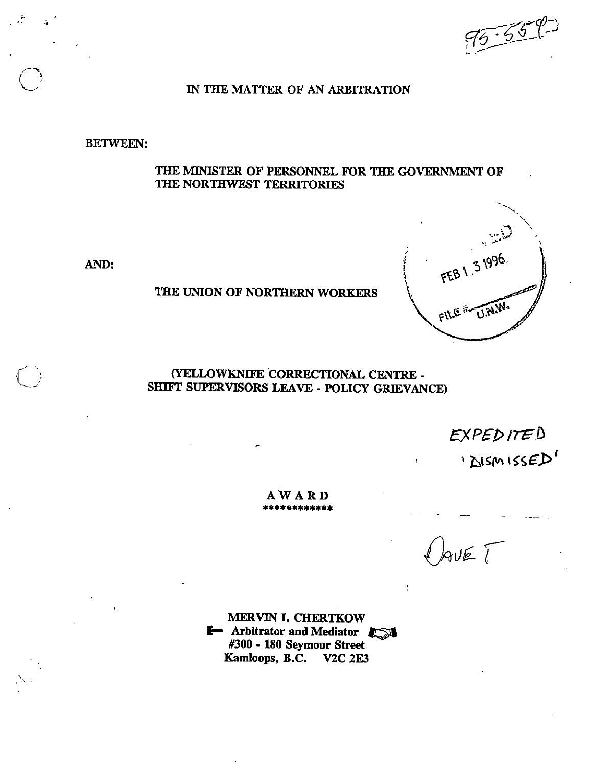$95.558$ 

### m THE MATTER OF AN ARBITRATION

BETWEEN:

THE MINISTER OF PERSONNEL FOR THE GOVERNMENT OF THE NORTHWEST TERRITORIES

AND:

 $\overline{a}$ 

### THE UNION OF NORTHERN WORKERS



### (YELLOWKNIFE CORRECTIONAL CENTRE - SHIFT SUPERVISORS LEAVE - POLICY GRIEVANCE)

 $EXPEDITED$ 

I DISMISSED'

 $A$  W A R D

 $GUET$ 

MERVIN 1. CHERTKOW **F** Arbitrator and Mediator #300 - 180 Seymour Street Kamloops, B.C. V2C 2E3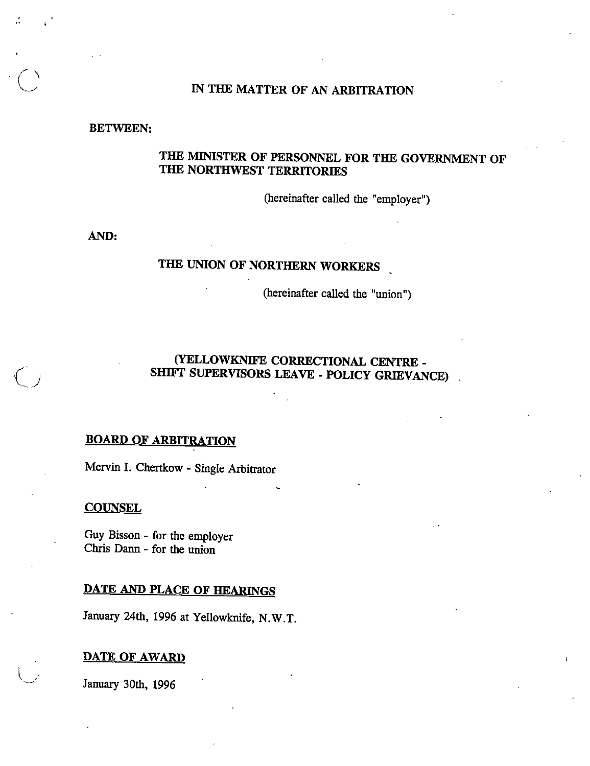### IN THE MATTER OF AN ARBITRATION

#### BETWEEN:

### THE MINISTER OF PERSONNEL FOR THE GOVERNMENT OF THE NORTHWEST TERRITORIES

(hereinafter called the "employer")

AND:

# THE UNION OF NORTHERN WORKERS

(hereinafter called the "union")

### (YELLOWKNIFE CORRECTIONAL CENTRE - SHIFT SUPERVISORS LEAVE - POLICY GRIEVANCE)

#### **BOARD OF ARBITRATION**

Mervin I. Chertkow - Single Arbitrator

#### **COUNSEL**

Guy Bisson - for the employer Chris Dann - for the union

## DATE AND PLACE OF HEARINGS

January 24th, 1996 at Yellowknife. N.W.T.

#### DATE OF AWARD

January 30th, 1996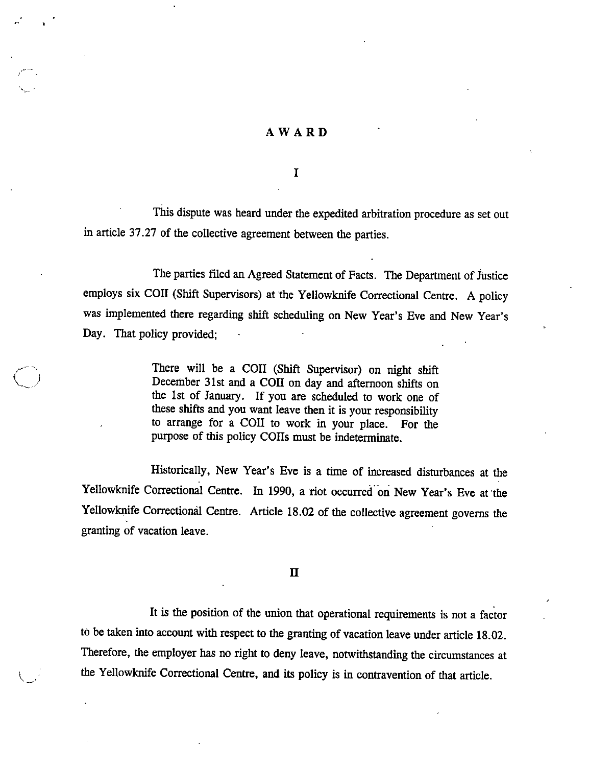#### AWARD

I

This dispute was heard under the expedited arbitration procedure as set out in article 37.27 of the collective agreement between the parties.

The parties filed an Agreed Statement of Facts. The Department of Justice employs six COII (Shift Supervisors) at the Yellowknife Correctional Centre. A policy was implemented there regarding shift scheduling on New Year's Eve and New Year's Day. That policy provided;

> There will be a COII (Shift Supervisor) on night shift December 31st and a COII on day and afternoon shifts on the 1st of January. If you are scheduled to work one of these shifts and you want leave then it is your responsibility to arrange for a COII to work in your place. For the purpose of this policy COIIs must be indeterminate.

Historically, New Year's Eve is a time of increased disturbances at the Yellowknife Correctional Centre. In 1990, a riot occurred'on New Year's Eve at the Yellowknife Correctional Centre. Article 18.02 of the collective agreement governs the granting of vacation leave.

n

It is the position of the union that operational requirements is not a factor to be taken into account with respect to the granting of vacation leave under article 18.02. Therefore, the employer has no right to deny leave, notwithstanding the circumstances at the Yellowknife Correctional Centre, and its policy is in contravention of that article.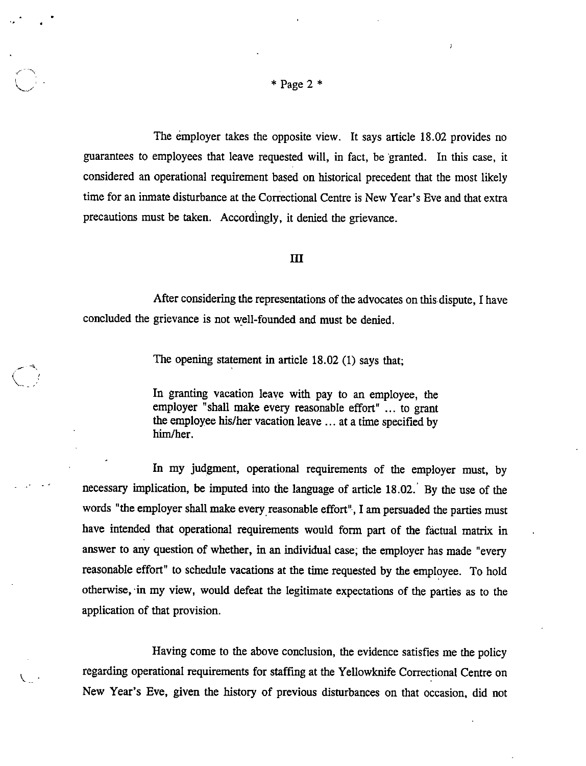V

 $\setminus$  .

The employer takes the opposite view. It says article 18.02 provides no guarantees to employees that leave requested will, in fact, be granted. In this case, it considered an operational requirement based on historical precedent that the most likely time for an inmate disturbance at the Correctional Centre is New Year's Eve and that extra precautions must be taken. Accordingly, it denied the grievance.

#### m

After considering the representations of the advocates on this dispute, I have concluded the grievance is not well-founded and must be denied.

The opening statement in article 18.02 (1) says that;

In granting vacation leave with pay to an employee, the employer "shall make every reasonable effort" ... to grant the employee his/her vacation leave ... at a time specified by him/her.

In my judgment, operational requirements of the employer must, by necessary implication, be imputed into the language of article 18.02. By the use of the words "the employer shall make every reasonable effort", I am persuaded the parties must have intended that operational requirements would form part of the factual matrix in answer to any question of whether, in an individual case, the employer has made "every reasonable effort" to schedule vacations at the time requested by the employee. To hold otherwise, in my view, would defeat the legitimate expectations of the parties as to the application of that provision.

Having come to the above conclusion, the evidence satisfies me the policy regarding operational requirements for staffing at the Yellowknife Correctional Centre on New Year's Eve, given the history of previous disturbances on that occasion, did not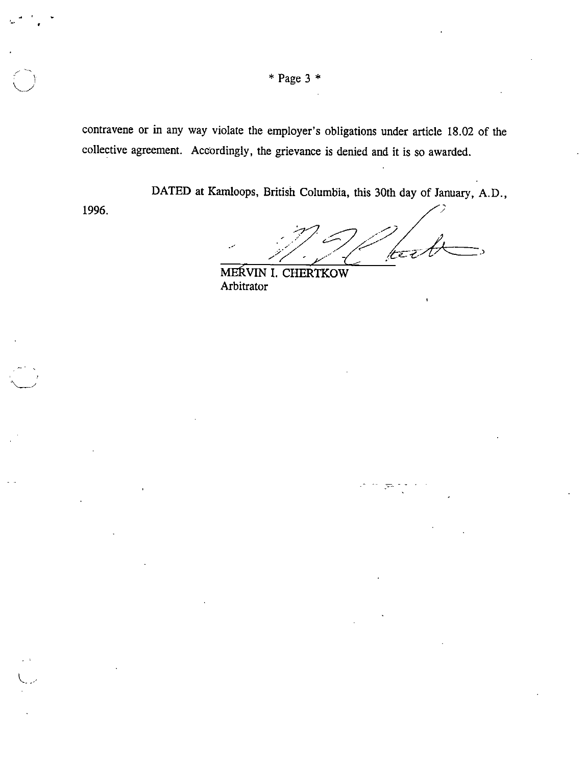$*$  Page 3  $*$ 

contravene or in any way violate the employer's obligations under article 18.02 of the collective agreement. Accordingly, the grievance is denied and it is so awarded.

DATED at Kamloops, British Columbia, this 30th day of January, A.D.,

1996.

I y

L...-

jtë

MERVIN I. CHERTKOW Arbitrator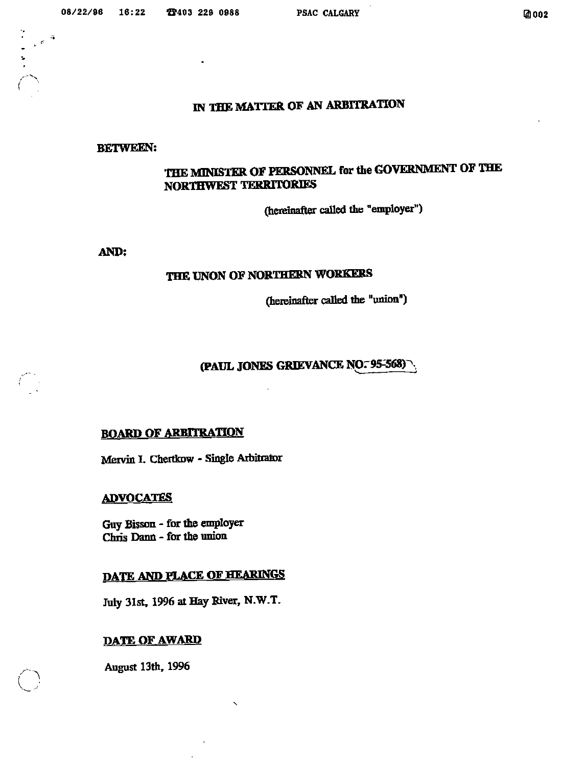$\begin{pmatrix} 1 & 1 \\ 1 & 1 \end{pmatrix}$ 

### IN THE MATTER OF AN ARBITRATION

#### BETWEEN:

## THE MINISTER OF PERSONNEL for the GOVERNMENT OF THE NORTHWEST TERRITORIES

(hereinafter called the "employer")

AND:

### THE UNON OF NORTHERN WORKERS

(hereinafter called the "union")

## (PAUL JONES GRIEVANCE NO. 95-568)

### ROARD OF ARBITRATION

Mervin I. Chertkow - Single Arbitrator

#### **ADVOCATES**

GuyBisson - for die employer Chris Dann - for the union

## DATE AND PLACE OF HEARINGS

July 31st, 1996 at Hay River, N.W.T.

### DATE OF AWARD

August 13th, 1996

 $\bigcup$ 

 $\int$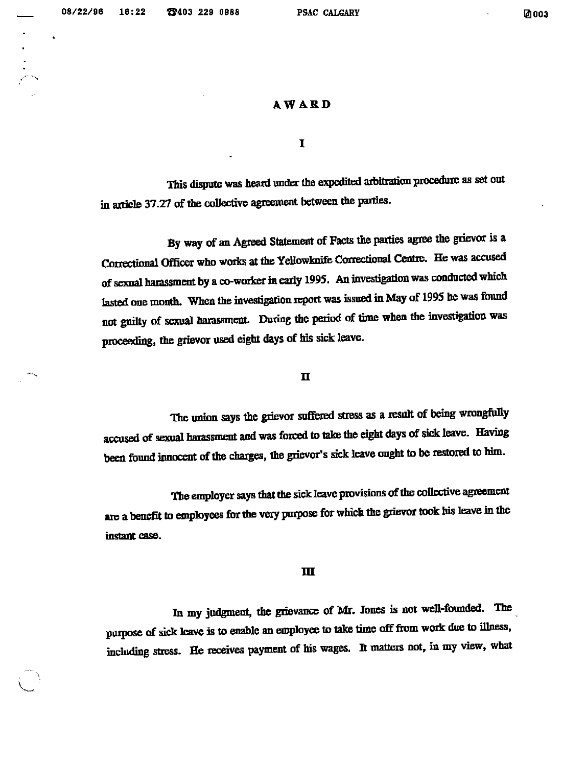#### AWARD

 $\mathbf I$ 

This dispute was heard under the expedited arbitration procedure as set out in article 37.27 of the collective agreement between the parties.

By way of an Agreed Statement of Facts the parties agree the grievor is a Correctional Officer who works at the Yellowknife Correctional Centre. He was accused of sexual harassment by a co-worker in early 1995. An investigation was conducted which lasted one month. When the investigation report was issued in May of 1995 he was found not guilty of sexual harassment. During the period of time when the investigation was proceeding, the grievor used eight days of his sick leave.

#### n

The union says the grievor suffered stress as a result of being wrongfully accused of sexual harassment and was forced to take the eight days of sick leave. Having been found innocent of the charges, the grievor's sick leave ought to be restored to him.

The employer says that the sick leave provisions of the collective agreement are a benefit to employees for the very purpose for which the grievor took his leave in the instant case.

#### m

In my judgment, the grievance of Mr. Jones is not well-fcunded. The purpose of sick leave is to enable an employee to take time off from work due to illness, including stress. He receives payment of his wages. It matters not, in my view, what